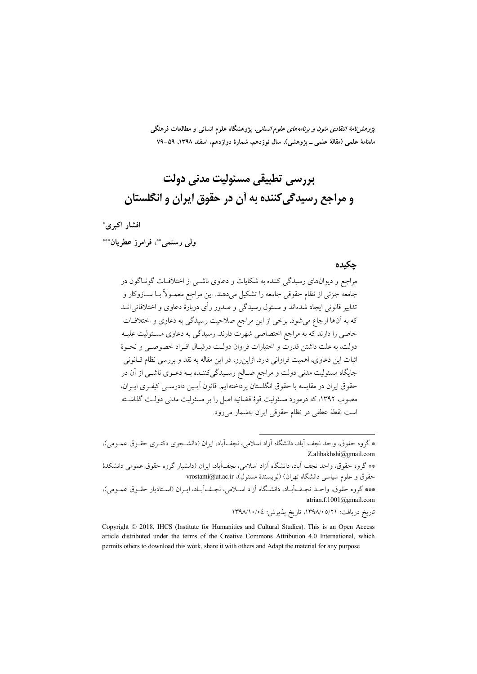*پژوهشنامهٔ انتقادی متون و برنامههای علوم انسانی*، پژوهشگاه علوم انسانی و مطالعات فرهنگی ماەنامۀ علمی (مقالۀ علمی ــ پژوهشی)، سال نوزدهم، شمارۀ دوازدهم، اسفند ١٣٩٨، ٥٩–٧٩

# پررسے تطبیقی مسئولت مدنی دولت و مراجع رسيدگي کننده به آن در حقوق ايران و انگلستان

افشار اکبری\*

ولي رستميٌّ، فرامرز عطرمان\*\*\*

#### حكىدە

مراجع و دیوانهای رسیدگی کننده به شکایات و دعاوی ناشـی از اختلافـات گونـاگون در جامعه جزئي از نظام حقوقي جامعه را تشكيل ميدهند. اين مراجع معمــولاً بــا ســازوكار و تدابیر قانونی ایجاد شدهاند و مسئول رسیدگی و صدور رأی دربارهٔ دعاوی و اختلافاتی انــد که به آنها ارجاع میشود. برخی از این مراجع صلاحیت رسیدگی به دعاوی و اختلافـات خاصی را دارند که به مراجع اختصاصی شهرت دارند. رسیدگی به دعاوی مسئولیت علیـه دولت، به علت داشتن قدرت و اختيارات فراوان دولت درقيـال افـراد خصوصـي و نحـوهٔ اثبات این دعاوی، اهمیت فراوانی دارد. ازاین رو، در این مقاله به نقد و بررسی نظام قـانونی جایگاه مسئولیت مدنی دولت و مراجع صـالح رسـیدگیکننـده بـه دعـوی ناشـی از آن در حقوق ايران در مقايسه با حقوق انگلستان پرداخته ايم. قانون آيـين دادرسـي كيفـرى ايـران، مصوب ۱۳۹۲، که درمورد مسئولیت قوهٔ قضائیه اصل را بر مسئولیت مدنی دولـت گذاشــته است نقطهٔ عطفی در نظام حقوقی ایران بهشمار میرود.

تاريخ دريافت: ١٣٩٨/٠٥/٢١، تاريخ يذيرش: ١٣٩٨/١٠/٠٤

<sup>\*</sup> گروه حقوق، واحد نجف آباد، دانشگاه آزاد اسلامی، نجفآباد، ایران (دانشــجوی دکتـری حقـوق عمـومی)، Z.alibakhshi@gmail.com

<sup>\*\*</sup> گروه حقوق، واحد نجف آباد، دانشگاه آزاد اسلامی، نجفآباد، ایران (دانشیار گروه حقوق عمومی دانشکدهٔ حقوق و علوم سياسي دانشگاه تهران) (نويسندهٔ مسئول)، vrostami@ut.ac.ir

<sup>\*\*\*</sup> گروه حقوق، واحـد نجـف]بــاد، دانشـگاه آزاد اســلامي، نجـف]بــاد، ايــران (اســتاديار حقـوق عمـومي)، atrian.f.1001@gmail.com

Copyright © 2018, IHCS (Institute for Humanities and Cultural Studies). This is an Open Access article distributed under the terms of the Creative Commons Attribution 4.0 International, which permits others to download this work, share it with others and Adapt the material for any purpose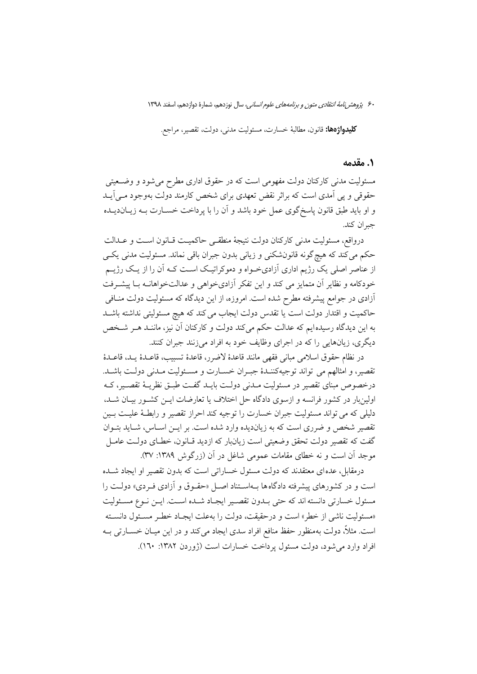۶۰ پژوهشر *نامهٔ انتقادی متون و برنامههای علوم انسانی،* سال نوزدهم، شمارهٔ دوازدهم، اسفند ۱۳۹۸

**كليدواژهها:** قانون، مطالبهٔ خسارت، مسئوليت مدنى، دولت، تقصير، مراجع.

#### 1. مقدمه

مسئولیت مدنی کارکنان دولت مفهومی است که در حقوق اداری مطرح میشود و وضــعیتی حقوقی و پی اَمدی است که براثر نقض تعهدی برای شخص کارمند دولت بهوجود مـی|یــد و او بايد طبق قانون ياسخ گوي عمل خود باشد و آن را با پر داخت خســارت بــه زيــانديــده جبران كند.

درواقع، مسئوليت مدنى كاركنان دولت نتيجة منطقـى حاكميـت قـانون اسـت و عــدالت حکم می کند که هیچ گونه قانونشکنی و زیانی بدون جبران باقی نماند. مسئولیت مدنی یکسی از عناصر اصلی یک رژیم اداری آزادیخـواه و دموکراتیـک اسـت کـه آن را از یـک رژیــم خودکامه و نظایر آن متمایز می کند و این تفکر آزادیخواهی و عدالتخواهانــه بــا پیشــرفت آزادی در جوامع پیشرفته مطرح شده است. امروزه، از این دیدگاه که مسئولیت دولت منــاف<sub>ی</sub> حاكميت و اقتدار دولت است يا تقدس دولت ايجاب مي كند كه هيچ مسئوليتي نداشته باشـد به این دیدگاه رسیدهایم که عدالت حکم میکند دولت و کارکنان آن نیز، ماننـد هـر شـخص ديگري، زيانهايي را كه در اجراي وظايف خود به افراد ميزنند جبران كنند.

در نظام حقوق اسلامی مبانی فقهی مانند قاعدهٔ لاضرر، قاعدهٔ تسبب، قاعـدهٔ یـد، قاعـدهٔ تقصیر، و امثالهم می تواند توجیهکننـدهٔ جبـران خسـارت و مسـئولیت مـدنی دولـت باشـد. درخصوص مبنای تقصیر در مسئولیت مـدنی دولـت بایــد گفــت طبــق نظریــهٔ تقصــیر، کــه اولینبار در کشور فرانسه و ازسوی دادگاه حل اختلاف یا تعارضات ایــن کشــور بیــان شــد، دلیلی که می تواند مسئولیت جبران خسارت را توجیه کند احراز تقصیر و رابطـهٔ علیـت بـین تقصیر شخص و ضرری است که به زیاندیده وارد شده است. بر ایــن اســاس، شــاید بتــوان گفت که تقصیر دولت تحقق وضعیتی است زیانبار که ازدید قـانون، خطـای دولـت عامـل موجد آن است و نه خطای مقامات عمومی شاغل در آن (زرگوش ۱۳۸۹: ۳۷).

درمقابل، عده ای معتقدند که دولت مسئول خساراتی است که بدون تقصیر او ایجاد شـده است و در کشورهای پیشرفته دادگاهها بـهاسـتناد اصـل «حقـوق و آزادی فـردی» دولـت را مسئول خسارتي دانسته اند كه حتى بـدون تقصـير ايجـاد شـده اسـت. ايـن نـوع مسـئوليت «مسئوليت ناشي از خطر» است و درحقيقت، دولت را بهعلت ايجـاد خطـر مسـئول دانسـته است. مثلاً، دولت بهمنظور حفظ منافع افراد سدي ايجاد مي كند و در اين ميــان خســارتي بــه افراد وارد م شود، دولت مسئول یرداخت خسارات است (ژوردن ۱۳۸۲: ۱٦۰).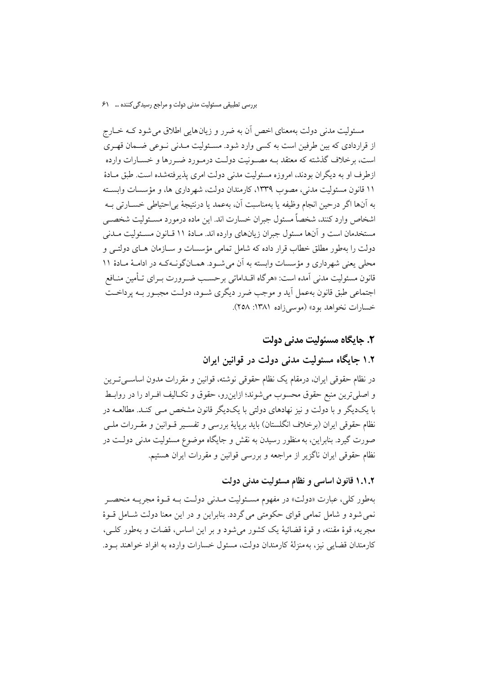مسئولیت مدنی دولت بهمعنای اخص آن به ضرر و زیانهایی اطلاق می شود کـه خــارج از قراردادی که بین طرفین است به کسی وارد شود. مسئولت میدنی نیوعی ضیعان قهیری است، برخلاف گذشته که معتقد بـه مصـونیت دولـت درمـورد ضـررها و خسـارات وارده ازطرف او به دیگران بودند، امروزه مسئولیت مدنی دولت امری پذیرفتهشده است. طبق مـادهٔ ۱۱ قانون مسئولیت مدنی، مصوب ۱۳۳۹، کارمندان دولت، شهر داری ها، و مؤسسات وابسته به أنها اگر درحین انجام وظیفه یا بهمناسبت آن، بهعمد یا درنتیجهٔ بی|حتیاطی خســارتی بــه اشخاص وارد كنند، شخصاً مسئول جبران خسارت اند. اين ماده درمورد مسـئوليت شخصـي مستخدمان است و آنها مسئول جبران زيانهاي وارده اند. مـادهٔ ۱۱ قـانون مسـئوليت مـدني دولت را بهطور مطلق خطاب قرار داده که شامل تمامی مؤسسات و سـازمان هـای دولتــی و محلی یعنی شهرداری و مؤسسات وابسته به آن می شـود. همـانگونـهکـه در ادامـهٔ مـادهٔ ۱۱ قانون مسئوليت مدني آمده است: «هرگاه اقــداماتي برحســب ضــرورت بــراي تــأمين منــافع اجتماعی طبق قانون بهعمل آید و موجب ضرر دیگری شـود، دولـت مجبـور بـه پرداخـت خسارات نخواهد بود» (موسى زاده ١٣٨١: ٢٥٨).

### ٢. حايگاه مسئوليت مدنى دولت

### ۱.۲ جایگاه مسئولیت مدنی دولت در قوانین ایران

در نظام حقوقی ایران، درمقام یک نظام حقوقی نوشته، قوانین و مقررات مدون اساسیترین و اصلي ترين منبع حقوق محسوب مي شوند؛ ازاين رو، حقوق و تكـاليف افـراد را در روابـط با یکدیگر و با دولت و نیز نهادهای دولتی با یکدیگر قانون مشخص مـبی کنـد. مطالعــه در نظام حقوقی ایران (برخلاف انگلستان) باید برپایهٔ بررسی و تفسـیر قــوانین و مقــررات ملــی صورت گيرد. بنابراين، به منظور رسيدن به نقش و جايگاه موضوع مسئوليت مدنى دولـت در نظام حقوقی ایران ناگزیر از مراجعه و بررسی قوانین و مقررات ایران هستیم.

### ۱.۱.۲ قانون اساسی و نظام مسئولیت مدنی دولت

بهطور کلي، عبارت «دولت» در مفهوم مسـئوليت مــدني دولـت بــه قــوهٔ مجريــه منحصــر نمي شود و شامل تمامي قواي حكومتي مي گردد. بنابراين و در اين معنا دولت شــامل قــوهٔ مجريه، قوهٔ مقننه، و قوهٔ قضائيهٔ يک کشور ميشود و بر اين اساس، قضات و بهطور کلـي، كارمندان قضايي نيز، به منزلهٔ كارمندان دولت، مسئول خسارات وارده به افراد خواهند بـود.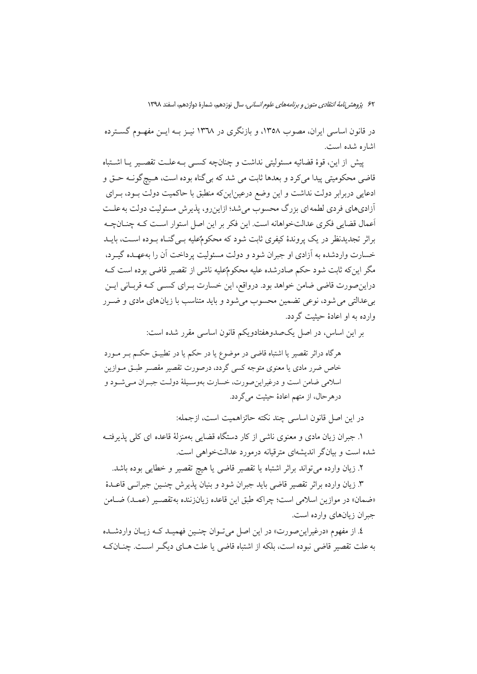۶۲ پژ*وهش نامهٔ انتقادی متون و برنامههای علوم انسانی،* سال نوزدهم، شمارهٔ دوازدهم، اسفند ۱۳۹۸

در قانون اساسی ایران، مصوب ۱۳۵۸، و بازنگری در ۱۳۳۸ نیـز بـه ایـن مفهـوم گسـترده اشاره شده است.

ييش از اين، قوة قضائيه مسئوليتي نداشت و چنانچه كسبي بـه علـت تقصـير يــا اشــتباه قاضي محکوميتي پيدا مي کرد و بعدها ثابت مي شد که بي گناه بوده است، هـيچگونــه حــق و ادعایی دربرابر دولت نداشت و این وضع درعین|ینکه منطبق با حاکمیت دولت بــود، بــرای آزادیهای فردی لطمه ای بزرگ محسوب می شد؛ ازاین رو، پذیر ش مسئولیت دولت به علـت أعمال قضایی فکری عدالتخواهانه است. این فکر بر این اصل استوار است کـه چنــانچــه براثر تجدیدنظر در یک پروندهٔ کیفری ثابت شود که محکومٌعلیه بـبیگنـاه بـوده اسـت، بایـد خسارت واردشده به آزادي او جبران شود و دولت مسئوليت پرداخت آن را بهعهـده گيـرد، مگر اینکه ثابت شود حکم صادرشده علیه محکومٌعلیه ناشی از تقصیر قاضی بوده است کـه دراین صورت قاضی ضامن خواهد بود. درواقع، این خسارت بـرای کسـی کـه قربـانی ایـن بیعدالتی می شود، نوعی تضمین محسوب می شود و باید متناسب با زیان های مادی و ضـرر وارده به او اعادهٔ حشت گردد.

بر اين اساس، در اصل يكحمدوهفتادويكم قانون اساسى مقرر شده است:

هرگاه دراثر تقصیر یا اشتباه قاضی در موضوع یا در حکم یا در تطبیــق حکــم بــر مــورد خاص ضرر مادی یا معنوی متوجه کسی گردد، درصورت تقصیر مقصـر طبــق مــوازین اسلامی ضامن است و درغیراین صورت، خسارت بهوسمیلهٔ دولت جبران میشود و درهرحال، از متهم اعادهٔ حیثیت میگردد.

در اين اصل قانون اساسي چند نكته حائزاهميت است، ازجمله:

۱. جبران زیان مادی و معنوی ناشی از کار دستگاه قضایی بهمنزلهٔ قاعده ای کلی پذیرفتـه شده است و بیانگر اندیشهای مترقبانه درمورد عدالتخواهی است.

٢. زيان وارده مي تواند براثر اشتباه يا تقصير قاضي يا هيچ تقصير و خطايي بوده باشد.

٣. زيان وارده براثر تقصير قاضي بايد جبران شود و بنيان يذيرش چنــين جبرانــي قاعــدهٔ «ضمان» در موازین اسلامی است؛ چراکه طبق این قاعده زیانزننده بهتقصـیر (عمـد) ضـامن جبران زیانهای وارده است.

٤. از مفهوم «درغیراین صورت» در این اصل میتوان چنین فهمیـد کـه زیـان واردشـده به علت تقصیر قاضی نبوده است، بلکه از اشتباه قاضی یا علت هـای دیگـر اسـت. چنــان٤ـه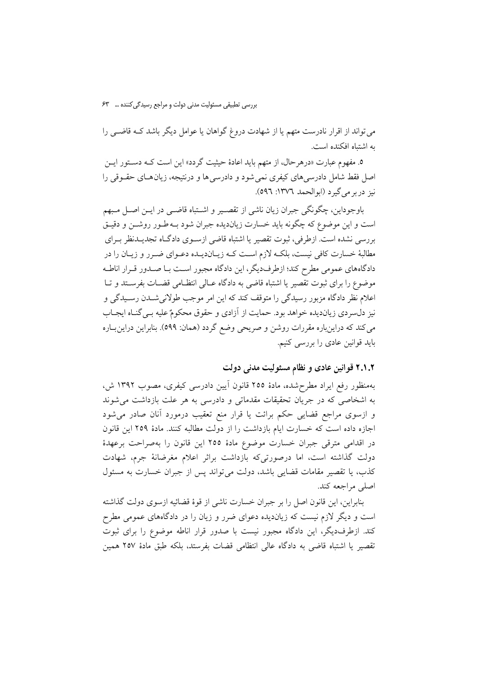می تواند از اقرار نادرست متهم یا از شهادت دروغ گواهان یا عوامل دیگر باشد کـه قاضـی را به اشتباه افکنده است.

٥. مفهوم عبارت «درهر حال، از متهم بايد اعادهٔ حيثيت گردد» اين است كــه دســتور ايــن اصل فقط شامل دادرسیهای کیفری نمی شود و دادرسی ها و درنتیجه، زیان هـای حقــوقی را نيز در بر مي گير د (ابوالحمد ١٣٧٦: ٥٩٦).

باوجوداین، چگونگی جبران زیان ناشی از تقصـیر و اشـتباه قاضـی در ایــن اصــل مـبهم است و این موضوع که چگونه باید خسارت زیاندیده جبران شود بـه طـور روشــن و دقیــق بررسی نشده است. ازطرفی، ثبوت تقصیر یا اشتباه قاضی ازسـوی دادگـاه تجدیــدنظر بــرای مطالبهٔ خسارت کافی نیست، بلکـه لازم اسـت کـه زیـاندیـده دعـوای ضـرر و زیـان را در دادگاههای عمومی مطرح کند؛ ازطرفدیگر، این دادگاه مجبور اسـت بـا صـدور قــرار اناطــه موضوع را برای ثبوت تقصیر یا اشتباه قاضی به دادگاه عـالی انتظـامی قضـات بفرسـتد و تـا اعلام نظر دادگاه مزبور رسیدگی را متوقف کند که این امر موجب طولانیشــدن رســیدگی و نیز دل سردی زیان دیده خواهد بود. حمایت از آزادی و حقوق محکومٌ علیه بـی گنـاه ایجـاب می کند که دراینباره مقررات روشن و صریحی وضع گردد (همان: ٥٩٩). بنابراین دراین بـاره باید قوانین عادی را بررسی کنیم.

۲.۱.۲ قوانین عادی و نظام مسئولیت مدنی دولت

بهمنظور رفع ايراد مطرح شده، مادهٔ ٢٥٥ قانون آيين دادرسي كيفري، مصوب ١٣٩٢ ش، به اشخاصی که در جریان تحقیقات مقدماتی و دادرسی به هر علت بازداشت می شوند و ازسوی مراجع قضایی حکم برائت یا قرار منع تعقیب درمورد آنان صادر می شود اجازه داده است كه خسارت ايام بازداشت را از دولت مطالبه كنند. مادهٔ ٢٥٩ اين قانون در اقدامی مترقی جبران خسارت موضوع مادهٔ ۲۵۵ این قانون را بهصراحت برعهدهٔ دولت گذاشته است، اما درصورتی که بازداشت براثر اعلام مغرضانهٔ جرم، شهادت كذب، يا تقصير مقامات قضايي باشد، دولت مي تواند پس از جبران خسارت به مسئول اصلي مراجعه كند.

بنابراین، این قانون اصل را بر جبران خسارت ناشی از قوهٔ قضائیه ازسوی دولت گذاشته است و دیگر لازم نیست که زیاندیده دعوای ضرر و زیان را در دادگاههای عمومی مطرح کند. ازطرفدیگر، این دادگاه مجبور نیست با صدور قرار اناطه موضوع را برای ثبوت تقصير يا اشتباه قاضي به دادگاه عالي انتظامي قضات بفرستد، بلكه طبق مادهٔ ٢٥٧ همين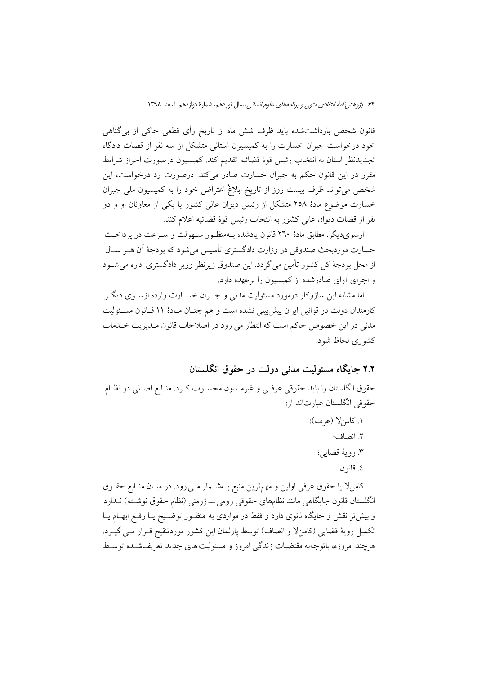قانون شخص بازداشتشده باید ظرف شش ماه از تاریخ رأی قطعی حاکی از بی گناهی خود درخواست جبران خسارت را به کمیسیون استانی متشکل از سه نفر از قضات دادگاه تجديدنظر استان به انتخاب رئيس قوة قضائيه تقديم كند. كميسيون درصورت احراز شرايط مقرر در این قانون حکم به جبران خسارت صادر میکند. درصورت رد درخواست، این شخص میتواند ظرف بیست روز از تاریخ ابلاغْ اعتراض خود را به کمیسیون ملی جبران خسارت موضوع مادهٔ ۲۵۸ متشکل از رئیس دیوان عالمی کشور یا یکی از معاونان او و دو نفر از قضات ديوان عالى كشور به انتخاب رئيس قوهٔ قضائيه اعلام كند.

ازسویدیگر، مطابق مادهٔ ۲٦۰ قانون یادشده بـهمنظـور سـهولت و سـرعت در پرداخــت خسارت موردبحث صندوقی در وزارت دادگستری تأسیس می شود که بودجهٔ اَن هـر ســال از محل بودجهٔ کل کشور تأمین می گردد. این صندوق زیرنظر وزیر دادگستری اداره می شــود و اجرای آرای صادرشده از کمیسیون را برعهده دارد.

اما مشابه این سازوکار درمورد مسئولیت مدنی و جیوان خسیارت وارده ازسیوی دیگیر كارمندان دولت در قوانين ايران پيش بيني نشده است و هم چنــان مــادهٔ ۱۱ قــانون مســئوليت مدنی در این خصوص حاکم است که انتظار می رود در اصلاحات قانون مـدیریت خـدمات کشوری لحاظ شود.

### ۲.۲ جایگاه مسئولیت مدنی دولت در حقوق انگلستان

حقوق انگلستان را بايد حقوقي عرفـي و غيرمـدون محسـوب كـرد. منـابع اصـلي در نظـام حقوقی انگلستان عبارتاند از:

- ١. كامنٍلا (عرف)؛
	- ٢. انصاف؛
	- ۳ رويهٔ قضايي؛
		- ٤. قانون.

كامنٍلا يا حقوق عرفي اولين و مهمترين منبع بـهشـمار مـي رود. در ميـان منـابع حقــوق انگلستان قانون جایگاهی مانند نظامهای حقوقی رومی ـــ ژرمنی (نظام حقوق نوشـته) نــدارد و بیش تر نقش و جایگاه ثانوی دارد و فقط در مواردی به منظــور توضــیح یــا رفــع ابهــام یــا تكميل رويهٔ قضايي (كامنلا و انصاف) توسط پارلمان اين كشور موردتنقيح قـرار مـي گيـرد. هرچند امروزه، باتوجهبه مقتضیات زندگی امروز و مسئولیت های جدید تعریفشـده توسـط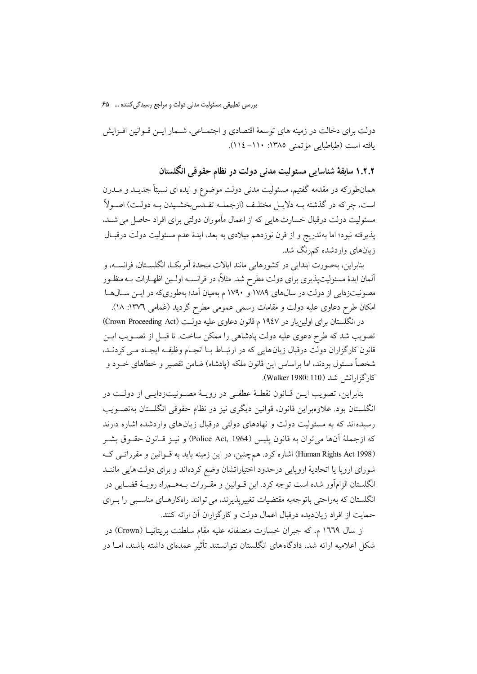دولت برای دخالت در زمینه های توسعهٔ اقتصادی و اجتمــاعی، شــمار ایــن قــوانین افــزایش يافته است (طباطبايي مؤتمني ١٣٨٥: ١١٠-١١٤).

۱.۲.۲ سابقهٔ شناسایی مسئولیت مدنی دولت در نظام حقوقی انگلستان

همانطورکه در مقدمه گفتیم، مسئولیت مدنی دولت موضوع و ایده ای نسبتاً جدیــد و مــدرن است، چراكه در گذشته بــه دلايــل مختلـف (ازجملــه تقــدس بخشــيدن بــه دولــت) اصــولاً مسئولیت دولت درقبال خسارت هایی که از اعمال مأموران دولتی برای افراد حاصل می شـد، پذیرفته نبود؛ اما بهتدریج و از قرن نوزدهم میلادی به بعد، ایدهٔ عدم مسئولیت دولت درقبال زیانهای واردشده کمرنگ شد.

بنابراين، بهصورت ابتدايي در كشورهايي مانند ايالات متحدهٔ آمريكـا، انگلســتان، فرانســه، و آلمان ايدهٔ مسئوليتيذيري براي دولت مطرح شد. مثلاً، در فرانســه اولــين اظهــارات بــه منظــور مصونیتزدایی از دولت در سال@ای ۱۷۸۹ و ۱۷۹۰ م بهمیان آمد؛ بهطوریکه در ایــن ســال@ــا امکان طرح دعاوی علیه دولت و مقامات رسمی عمومی مطرح گردید (غمامی ۱۳۷۲: ۱۸).

در انگلستان برای اولین بار در ۱۹٤۷ م قانون دعاوی علیه دولت (Crown Proceeding Act) تصویب شد که طرح دعوی علیه دولت پادشاهی را ممکن ساخت. تا قبـل از تصــویب ایــن قانون كارگزاران دولت درقبال زيان هايي كه در ارتبـاط بـا انجـام وظيفـه ايجـاد مـي كردنـد، شخصاً مسئول بودند، اما براساس این قانون ملکه (پادشاه) ضامن تقصیر و خطاهای خــود و كارگزارانش شد (Walker 1980: 110).

بنابراين، تصويب ايـــن قــانون نقطــهٔ عطفــي در رويــهٔ مصــونيت زدايــي از دولــت در انگلستان بود. علاوهبراین قانون، قوانین دیگری نیز در نظام حقوقی انگلستان بهتصـویب رسیده اند که به مسئولیت دولت و نهادهای دولتی درقبال زیان های واردشده اشاره دارند كه ازجملهٔ آنها مي توان به قانون پليس (Police Act, 1964) و نيـز قــانون حقــوق بشــر (Human Rights Act 1998) اشاره کرد. هم چنین، در این زمینه باید به قـوانین و مقرراتـی کـه شوراي ارويا يا اتحاديهٔ اروپايي درحدود اختياراتشان وضع كرده اند و براي دولتهايي ماننــد انگلستان الزامآور شده است توجه كرد. اين قــوانين و مقــررات بــههــمراه رويــهٔ قضــايي در انگلستان که بهراحتی باتوجهبه مقتضیات تغییرپذیرند، می توانند راهکارهـای مناسـبی را بـرای حمايت از افراد زيانديده درقبال اعمال دولت و كارگزاران آن ارائه كنند.

از سال ۱۳۲۹ م، که جبران خسارت منصفانه علیه مقام سلطنت بریتانیـا (Crown) در شکل اعلامیه ارائه شد، دادگاههای انگلستان نتوانستند تأثیر عمدهای داشته باشند، امــا در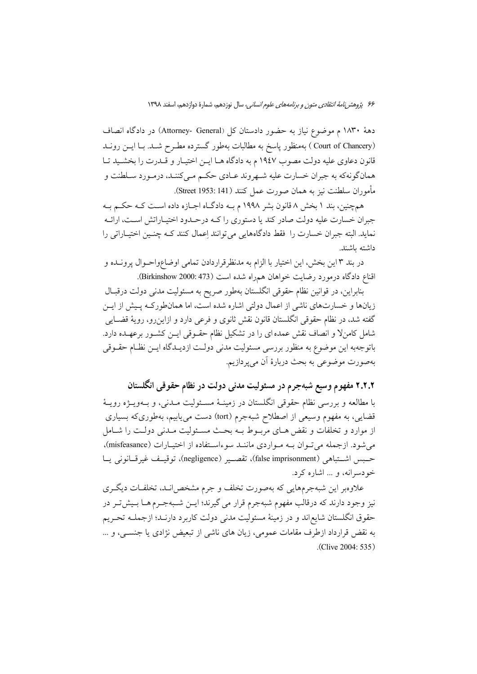دههٔ ۱۸۳۰ م موضوع نیاز به حضور دادستان کل (Attorney- General) در دادگاه انصاف (Court of Chancery ) بهمنظور پاسخ به مطالبات بهطور گسترده مطـرح شـد. بـا ايــن رونــد قانون دعاوی علیه دولت مصوب ۱۹٤۷ م به دادگاه هـا ایـن اختیـار و قــدرت را بخشـید تـا همانگونهکه به جبران خسارت علیه شـهروند عـادي حکـم مـي کننـد، درمـورد سـلطنت و مأموران سلطنت نيز به همان صورت عمل كنند (Street 1953: 141).

همچنین، بند ۱ بخش ۸ قانون بشر ۱۹۹۸ م بـه دادگـاه اجـازه داده اسـت کـه حکـم بـه جبران خسارت علیه دولت صادر کند یا دستوری را کـه درحـدود اختیـاراتش اسـت، ارائـه نماید. البته جبران خسارت را فقط دادگاههایی می توانند اِعمال کنند کـه چنـین اختیـاراتی را داشته ىاشند.

در بند ۳ این بخش، این اختیار با الزام به مدنظرقراردادن تمامی اوضاعواحـوال پرونــده و اقناع دادگاه درمورد رضایت خواهان همراه شده است (473 :Birkinshow).

بنابراین، در قوانین نظام حقوقی انگلستان بهطور صریح به مسئولیت مدنی دولت درقبال زیانها و خسارتهای ناشی از اعمال دولتی اشاره شده است، اما همانطورکـه پـیش از ایــن گفته شد، در نظام حقوقی انگلستان قانون نقش ثانوی و فرعی دارد و ازاین رو، رویهٔ قضــایی شامل کامنلا و انصاف نقش عمده ای را در تشکیل نظام حقـوقی ایــن کشــور برعهــده دارد. باتوجهبه این موضوع به منظور بررسی مسئولیت مدنی دولـت ازدیــدگاه ایــن نظــام حقــوقی بهصورت موضوعي به بحث دربارهٔ اَن مي پردازيم.

۲.۲.۲ مفهوم وسیع شبهجرم در مسئولیت مدنی دولت در نظام حقوقی انگلستان

با مطالعه و بررسی نظام حقوقی انگلستان در زمینــهٔ مســئولیت مــدنی، و بــهویــژه رویــهٔ قضایی، به مفهوم وسیعی از اصطلاح شبهجرم (tort) دست می یابیم، بهطوریکه بسیاری از موارد و تخلفات و نقض هـاى مربــوط بــه بحــث مســئوليت مــدنى دولــت را شــامل می شود. ازجمله می توان بـه مـواردی ماننـد سوءاسـتفاده از اختیـارات (misfeasance)، حسس اشتباهي (false imprisonment)، تقصير (negligence)، توقيف غيرقانوني يا خودسرانه، و ... اشاره کرد.

علاوهبر این شبهجرمهایی که بهصورت تخلف و جرم مشخصاند، تخلفـات دیگـری نیز وجود دارند که درقالب مفهوم شبهجرم قرار می گیرند؛ ایــن شــبهجــرم هــا بــیش تــر در حقوق انگلستان شایع|ند و در زمینهٔ مسئولیت مدنی دولت کاربرد دارنـد؛ ازجملــه تحـریم به نقض قرارداد ازطرف مقامات عمومی، زیان های ناشی از تبعیض نژادی یا جنسبی، و … .(Clive 2004: 535)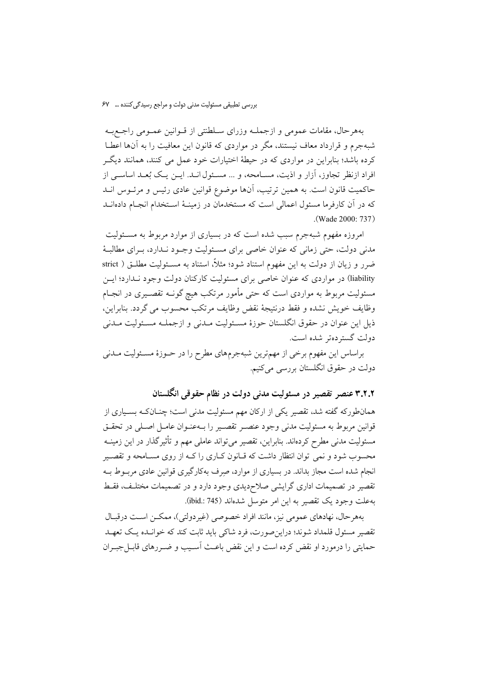بههرحال، مقامات عمومي و ازجملـه وزراي سـلطنتي از قــوانين عمــومي راجــع بــه شیهجرم و قرارداد معاف نیستند، مگر در مواردی که قانون این معافیت را به آنها اعطیا کرده باشد؛ بنابراین در مواردی که در حیطهٔ اختیارات خود عمل می کنند، همانند دیگـر افراد ازنظر تجاوز، آزار و اذیت، مسـامحه، و ... مسـئول انــد. ایــن یـک بُعـد اساســی از حاكميت قانون است. به همين ترتيب، آنها موضوع قوانين عادي رئيس و مرئــوس انــد که در آن کارفرما مسئول اعمالی است که مستخدمان در زمینـهٔ اسـتخدام انجـام دادهانــد (Wade 2000: 737).

امروزه مفهوم شبهجرم سبب شده است که در بسیاری از موارد مربوط به مسـئولیت مدنی دولت، حتی زمانی که عنوان خاصی برای مسئولیت وجـود نـدارد، بـرای مطالبـهٔ ضرر و زیان از دولت به این مفهوم استناد شود؛ مثلاً، استناد به مســئولیت مطلــق ( strict liability) در مواردی که عنوان خاصی برای مسئولیت کارکنان دولت وجود نـدارد؛ ایــن مسئولیت مربوط به مواردی است که حتی مأمور مرتکب هیچ گونــه تقصــیری در انجــام وظايف خويش نشده و فقط درنتيجة نقض وظايف مرتكب محسوب مي گردد. بنابراين، ذیل این عنوان در حقوق انگلستان حوزهٔ مسـئولیت مـدنی و ازجملـه مسـئولیت مـدنی دولت گسترده تر شده است.

براساس این مفهوم برخی از مهمترین شبهجرمهای مطرح را در حـوزهٔ مسـئولیت مـدنی دولت در حقوق انگلستان بررسی میکنیم.

۳.۲.۲ عنصر تقصیر در مسئولیت مدنی دولت در نظام حقوقی انگلستان

همانطورکه گفته شد، تقصیر یکی از ارکان مهم مسئولیت مدنی است؛ چنــانکــه بســیاری از قوانين مربوط به مسئوليت مدنى وجود عنصـر تقصـير را بــهعنــوان عامــل اصــلى در تحقــق مسئولیت مدنی مطرح کردهاند. بنابراین، تقصیر میتواند عاملی مهم و تأثیرگذار در این زمینــه محسوب شود و نمی توان انتظار داشت که قـانون کــاری را کــه از روی مســامحه و تقصــیر انجام شده است مجاز بداند. در بسیاری از موارد، صِرف بهکارگیری قوانین عادی مربـوط بـه تقصیر در تصمیمات اداری گرایشی صلاحدیدی وجود دارد و در تصمیمات مختلف، فقط به علت وجود يک تقصير به اين امر متوسل شدهاند (ibid.: 745).

بههرحال، نهادهای عمومی نیز، مانند افراد خصوصی (غیردولتی)، ممکـن اسـت درقبـال تقصير مسئول قلمداد شوند؛ دراين صورت، فرد شاكي بايد ثابت كند كه خوانـده يـك تعهـد حمایتی را درمورد او نقض کرده است و این نقض باعث آسـیب و ضـررهای قابـل جبـران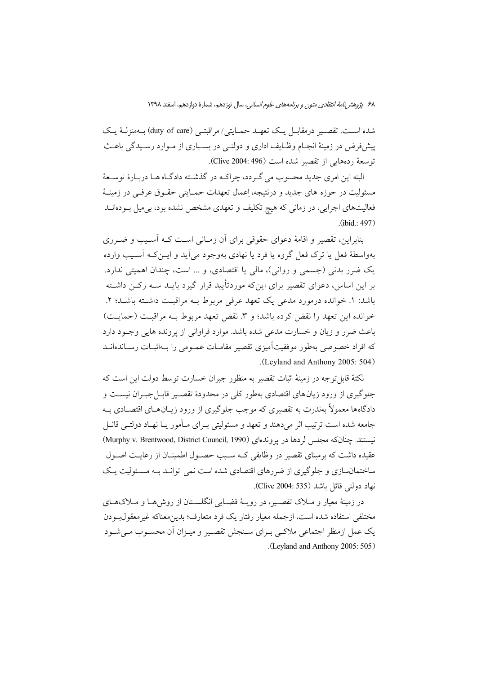۶۸ پژوهشر *نامهٔ انتقادی متون و برنامههای علوم انسانی،* سال نوزدهم، شمارهٔ دوازدهم، اسفند ۱۳۹۸

شده است. تقصير درمقابـل يـک تعهـد حمـايتي/مراقبتـي (duty of care) بــهمنزلــهٔ يـک پیشفررض در زمینهٔ انجـام وظـایف اداری و دولتـی در بسـیاری از مـوارد رسـیدگی باعـث توسعة ردههايي از تقصير شده است (Clive 2004: 496).

البته این امری جدید محسوب می گـردد، چراکــه در گذشــته دادگــاه هــا دربــارهٔ توســعهٔ مسئولیت در حوزه های جدید و درنتیجه، اِعمال تعهدات حمـایتی حقـوق عرفـی در زمینـهٔ فعالیتهای اجرایی، در زمانی که هیچ تکلیف و تعهدی مشخص نشده بود، بی میل بـودهانــد  $(ibid: 497)$ 

بنابراین، تقصیر و اقامهٔ دعوای حقوقی برای آن زمـانی اسـت کــه آســیب و ضــرری بهواسطهٔ فعل یا ترک فعل گروه یا فرد یا نهادی بهوجود می آید و ایــن کــه آســیب وارده یک ضرر بدنی (جسمی و روانی)، مالی یا اقتصادی، و ... است، چندان اهمیتی ندارد. بر این اساس، دعوای تقصیر برای اینکه موردتأیید قرار گیرد بایــد ســه رکــن داشــته باشد: ۱. خوانده درمورد مدعی یک تعهد عرفی مربوط بـه مراقبـت داشـته باشـد؛ ۲. خوانده این تعهد را نقض کرده باشد؛ و ۳. نقض تعهد مربوط بـه مراقبـت (حمایـت) باعث ضرر و زبان و خسارت مدعی شده باشد. موارد فراوانی از پرونده هایی وجبود دارد که افراد خصوصی بهطور موفقیتآمیزی تقصیر مقامـات عمـومی را بـهاثبـات رسـاندهانــد .(Leyland and Anthony 2005: 504)

نکتهٔ قابل توجه در زمینهٔ اثبات تقصیر به منظور جبران خسارت توسط دولت این است که جلوگیری از ورود زیان های اقتصادی بهطور کلی در محدودهٔ تقصـیر قابــل جبــران نیســت و دادگاهها معمولاً بهندرت به تقصیری که موجب جلوگیری از ورود زیــانهــای اقتصــادی بــه جامعه شده است ترتیب اثر می دهند و تعهد و مسئولیتی بـرای مـأمور یـا نهـاد دولتـی قائـل نیستند. چنانکه مجلس لردها در یروندهای (Murphy v. Brentwood, District Council, 1990) عقیده داشت که برمبنای تقصیر در وظایفی کـه سـبب حصـول اطمینـان از رعایـت اصـول ساختمانسازی و جلوگیری از ضررهای اقتصادی شده است نمی توانید بیه مسئولیت یک نهاد دولتي قائل باشد (Clive 2004: 535).

در زمینهٔ معیار و مـلاک تقصـیر، در رویـهٔ قضـایی انگلسـتان از روش هـا و مـلاکهـای مختلفي استفاده شده است، ازجمله معيار رفتار يک فرد متعارف؛ بدين معناكه غير معقول بودن یک عمل ازمنظر اجتماعی ملاکـی بـرای سـنجش تقصـیر و میـزان آن محسـوب مـی شـود (Leyland and Anthony 2005: 505).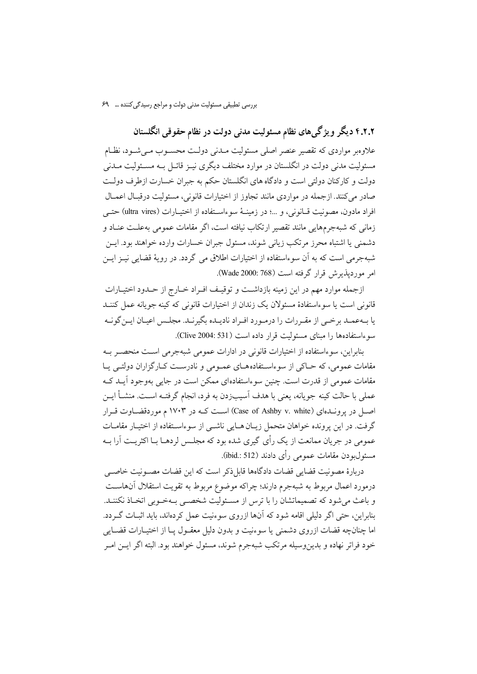۴.۲.۲ دیگر ویژگیهای نظام مسئولیت مدنی دولت در نظام حقوقی انگلستان علاوهبر مواردی که تقصیر عنصر اصلی مسئولیت مـدنی دولـت محسـوب مـیشـود، نظـام مسئولیت مدنی دولت در انگلستان در موارد مختلف دیگری نیـز قائـل بـه مسـئولیت مــدنی دولت و کارکنان دولتی است و دادگاه های انگلستان حکم به جبران خسارت ازطرف دولت صادر می کنند. ازجمله در مواردی مانند تجاوز از اختیارات قانونی، مسئولیت درقبال اعمـال افراد مادون، مصونيت قـانوني، و ...؛ در زمينــهٔ سوءاسـتفاده از اختيــارات (ultra vires) حتــي زمانی که شبهجرمهایی مانند تقصیر ارتکاب نیافته است، اگر مقامات عمومی بهعلت عنـاد و دشمني يا اشتباه محرز مرتكب زياني شوند، مسئول جبران خسارات وارده خواهند بود. ايــن شبهجرمی است که به آن سوءاستفاده از اختیارات اطلاق می گردد. در رویهٔ قضایی نیـز ایـن امر مورديذيرش قرار گرفته است (768 :Wade 2000).

ازجمله موارد مهم در این زمینه بازداشت و توقیف افـراد خـارج از حـدود اختیـارات قانونی است یا سوءاستفادهٔ مسئولان یک زندان از اختیارات قانونی که کینه جویانه عمل کننــد یا بـهعمـد برخـی از مقـررات را درمـورد افـراد نادیـده بگیرنـد. مجلـس اعیـان ایـن گونـه سوءاستفادهها را مبناى مسئوليت قرار داده است (Clive 2004: 531).

بنابراین، سوءاستفاده از اختیارات قانونی در ادارات عمومی شبهجرمی است منحصـر بـه مقامات عمومی، که حـاکی از سوءاسـتفادههـای عمـومی و نادرسـت کـارگزاران دولتـی یـا مقامات عمومی از قدرت است. چنین سوءاستفادهای ممکن است در جایی بهوجود آیــد کــه عملي با حالت كينه جويانه، يعني با هدف اَسيبزدن به فرد، انجام گرفتـه اسـت. منشــأ ايــن اصل در پرونـدهای (Case of Ashby v. white) اسـت کـه در ۱۷۰۳ م موردقضــاوت قــرار گرفت. در این پرونده خواهان متحمل زیـان هـایی ناشـی از سوءاسـتفاده از اختیـار مقامـات عمومي در جريان ممانعت از يک رأى گيرى شده بود که مجلـس لردهــا بــا اکثريــت آرا بــه مسئول بو دن مقامات عمومی رأی دادند (ibid.: 512).

دربارهٔ مصونیت قضایی قضات دادگاهها قابل ذکر است که این قضات مصـونیت خاصـی درمورد اعمال مربوط به شبهجرم دارند؛ چراکه موضوع مربوط به تقویت استقلال آنهاســت و باعث می شود که تصمیماتشان را با ترس از مسئولیت شخصبی سهخوبی اتخیاذ نکننید. بنابراین، حتی اگر دلیلی اقامه شود که آنها ازروی سوءنیت عمل کردهاند، باید اثبـات گـردد. اما چنانچه قضات ازروی دشمنی یا سوءنیت و بدون دلیل معقـول پـا از اختیــارات قضــایی خود فراتر نهاده و بدین وسیله مرتکب شبهجرم شوند، مسئول خواهند بود. البته اگر ایــن امــر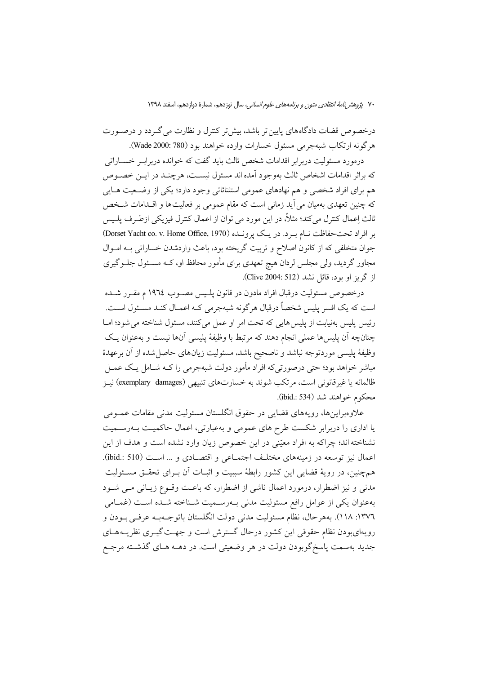۷۰ پ*ژوهش نامهٔ انتقادی متون و برنامههای علوم انسانی،* سال نوزدهم، شمارهٔ دوازدهم، اسفند ۱۳۹۸

درخصوص قضات دادگاههای پایین تر باشد، بیش تر کنترل و نظارت می گـردد و درصـورت هر گونه ارتکاب شبهجرمی مسئول خسارات وارده خواهند بود (780 :Wade 2000).

درمورد مسئولیت دربرابر اقدامات شخص ثالث باید گفت که خوانده دربراب خساراتی که براثر اقدامات اشخاص ثالث بهوجود آمده اند مسئول نیسـت، هرچنـد در ایــن خصــوص هم برای افراد شخصی و هم نهادهای عمومی استثنائاتی وجود دارد؛ یکی از وضـعیت هـایی که چنین تعهدی بهمیان می آید زمانی است که مقام عمومی بر فعالیتها و اقــدامات شــخص ثالث اِعمال كنترل ميكند؛ مثلاً، در اين مورد مي توان از اعمال كنترل فيزيكي ازطـرف پلـيس بر افراد تحت حفاظت نسام به د. در يك يوونيده (Dorset Yacht co. v. Home Office, 1970) جوان متخلفی که از کانون اصلاح و تربیت گریخته بود، باعث واردشدن خساراتی بـه امــوال مجاور گردید، ولی مجلس لردان هیچ تعهدی برای مأمور محافظ او، کـه مسـئول جلــوگیری از گريز او بود، قائل نشد (Clive 2004: 512).

درخصوص مسئوليت درقبال افراد مادون در قانون يلـيس مصــوب ١٩٦٤ م مقـرر شــده است که یک افسر پلیس شخصاً درقبال هرگونه شبهجرمی کـه اعمـال کنـد مسـئول اسـت. رئيس پليس بهنيابت از پليس هايي كه تحت امر او عمل مي كنند، مسئول شناخته مي شود؛ امــا چنانچه اّن يليسها عملي انجام دهند كه مرتبط با وظيفهٔ يليسي اّنها نيست و بهعنوان يـك وظيفهٔ پليسي موردتوجه نباشد و ناصحيح باشد، مسئوليت زيانهاي حاصل شده از آن برعهدهٔ مباشر خواهد بود؛ حتی درصورتیکه افراد مأمور دولت شبهجرمی را کــه شــامل یــک عمــل ظالمانه یا غیرقانونی است، مرتکب شوند به خسارتهای تنبیهی (exemplary damages) نیـز محكوم خواهند شد (ibid.: 534).

علاوهبراینها، رویههای قضایی در حقوق انگلستان مسئولیت مدنی مقامات عمــومی یا اداری را دربرابر شکست طرح های عمومی و بهعبارتی، اعمال حاکمیت بـهرسـمیت نشناخته اند؛ چراکه به افراد معیّنی در این خصوص زیان وارد نشده است و هدف از این اعمال نیز توسعه در زمینههای مختلّف اجتمـاعی و اقتصـادی و … اسـت (ibid.: 510). همچنین، در رویهٔ قضایی این کشور رابطهٔ سببیت و اثبـات آن بــرای تحقــق مســئولیت مدنی و نیز اضطرار، درمورد اعمال ناشی از اضطرار، که باعث وقـوع زیـانی مـی شـود بهعنوان يكي از عوامل رافع مسئوليت مدنى بـهرسـميت شـناخته شـده اسـت (غمـامى ١٣٧٦: ١١٨). بههرحال، نظام مسئوليت مدنى دولت انگلستان باتوجـهبـه عرفـي بـودن و رویهایبودن نظام حقوقی این کشور درحال گسترش است و جهـت گیــری نظریــههــای جدید بهسمت پاسخگوبودن دولت در هر وضعیتی است. در دهــه هـای گذشـته مرجـع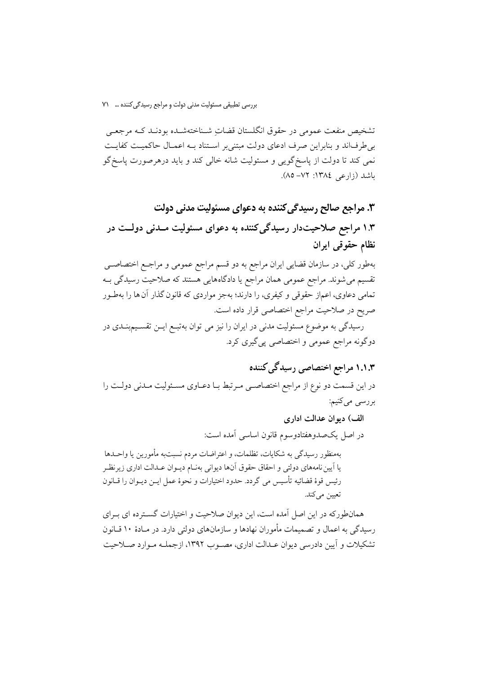تشخيص منفعت عمومي در حقوق انگلستان قضاتِ شـناختهشـده بودنـد کـه مرجعـي بی طرفاند و بنابراین صرف ادعای دولت مبتنی بر استناد بـه اعمـال حاکمیـت کفایـت نمی کند تا دولت از پاسخگویی و مسئولیت شانه خالی کند و باید درهرصورت پاسخگو باشد (زارعی ١٣٨٤: ٧٢–٨٥).

۳. مراجع صالح رسیدگی کننده به دعوای مسئولیت مدنی دولت ۱.۳ مراجع صلاحیتدار رسیدگی کننده به دعوای مسئولیت مـدنی دولــت در نظام حقوقبي ايران

بهطور کلی، در سازمان قضایی ایران مراجع به دو قسم مراجع عمومی و مراجـع اختصاصــی تقسیم می شوند. مراجع عمومی همان مراجع یا دادگاههایی هستند که صلاحیت رسیدگی بـه تمامی دعاوی، اعماز حقوقی و کیفری، را دارند؛ بهجز مواردی که قانون گذار آن ها را بهطـور صريح در صلاحيت مراجع اختصاصي قرار داده است.

رسیدگی به موضوع مسئولیت مدنی در ایران را نیز می توان بهتبـع ایــن تقســیمبنــدی در دوگونه مراجع عمومي و اختصاصي پي گيري كرد.

# ۱.۱.۳ مراجع اختصاصی رسیدگی کننده

در این قسمت دو نوع از مراجع اختصاصی مرتبط با دعباوی مسئولیت مـدنی دولـت را بررسي ميكنيم:

> الف) ديوان عدالت اداري در اصل يكحمدوهفتادوسوم قانون اساسي آمده است:

بهمنظور رسيدگي به شكايات، تظلمات، و اعتراضات مردم نسبتبه مأمورين يا واحــدها یا آیین نامههای دولتی و احقاق حقوق آنها دیوانی بهنـام دیـوان عـدالت اداری زیرنظـر رئيس قوهٔ قضائيه تأسيس مي گردد. حدود اختيارات و نحوهٔ عمل ايــن ديــوان را قــانون تعيين مي كند.

همانطورکه در این اصل آمده است، این دیوان صلاحیت و اختیارات گسـترده ای بـرای رسیدگی به اعمال و تصمیمات مأموران نهادها و سازمانهای دولتی دارد. در مـادهٔ ۱۰ قــانون تشکیلات و آیین دادرسی دیوان عـدالت اداری، مصـوب ۱۳۹۲، ازجملـه مـوارد صـلاحیت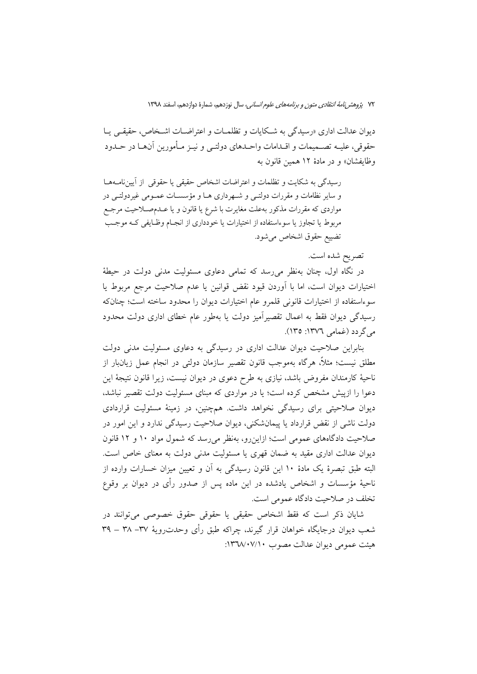ديوان عدالت اداري «رسيدگي به شكايات و تظلمـات و اعتراضـات اشـخاص، حقيقـبي يــا حقوقي، عليــه تصــميمات و اقــدامات واحــدهاي دولتــي و نيــز مــأمورين آن@ــا در حــدود وظايفشان» و در مادهٔ ١٢ همين قانون به

رسیدگی به شکایت و تظلمات و اعتراضات اشخاص حقیقی یا حقوقی از آییننامـهمـا و سایر نظامات و مقررات دولتـی و شـهرداری هـا و مؤسسـات عمـومی غیردولتـی در مواردي كه مقررات مذكور بهعلت مغايرت با شرع يا قانون و يا عــدمصــلاحيت مرجـع مربوط یا تجاوز یا سوءاستفاده از اختیارات یا خودداری از انجـام وظـایفی کـه موجـب تضييع حقوق اشخاص مي شود.

تصريح شده است.

در نگاه اول، چنان بەنظر مى٫سد كە تمامى دعاوى مسئولیت مدنى دولت در حیطهٔ اختیارات دیوان است، اما با آوردن قیود نقض قوانین یا عدم صلاحیت مرجع مربوط یا سوءاستفاده از اختیارات قانونی قلمرو عام اختیارات دیوان را محدود ساخته است؛ چنانکه رسیدگی دیوان فقط به اعمال تقصیرآمیز دولت یا بهطور عام خطای اداری دولت محدود می گردد (غمامی ۱۳۷٦: ۱۳۵).

بنابراین صلاحیت دیوان عدالت اداری در رسیدگی به دعاوی مسئولیت مدنی دولت مطلق نیست؛ مثلاً، هرگاه بهموجب قانون تقصیر سازمان دولتی در انجام عمل زیان،بار از ناحیهٔ کارمندان مفروض باشد، نیازی به طرح دعوی در دیوان نیست، زیرا قانون نتیجهٔ این دعوا را ازییش مشخص کرده است؛ یا در مواردی که مبنای مسئولیت دولت تقصیر نباشد، دیوان صلاحیتی برای رسیدگی نخواهد داشت. همچنین، در زمینهٔ مسئولیت قراردادی دولت ناشی از نقض قرارداد یا پیمانشکنی، دیوان صلاحیت رسیدگی ندارد و این امور در صلاحیت دادگاههای عمومی است؛ ازاین رو، بهنظر می رسد که شمول مواد ۱۰ و ۱۲ قانون دیوان عدالت اداری مقید به ضمان قهری یا مسئولیت مدنی دولت به معنای خاص است. البته طبق تبصرهٔ یک مادهٔ ۱۰ این قانون رسیدگی به آن و تعیین میزان خسارات وارده از ناحیهٔ مؤسسات و اشخاص یادشده در این ماده پس از صدور رأی در دیوان بر وقوع تخلف در صلاحیت دادگاه عمومی است.

شایان ذکر است که فقط اشخاص حقیقی یا حقوقی حقوق خصوصی می توانند در شعب دیوان درجایگاه خواهان قرار گیرند، چراکه طبق رأی وحدت(ویهٔ ۳۷– ۳۸ – ۳۹ هيئت عمومي ديوان عدالت مصوب ١٣٦٨/٠٧/١٠: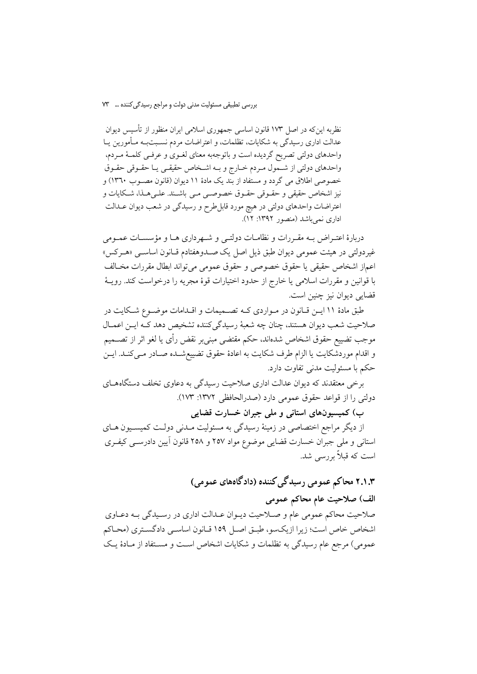نظریه این که در اصل ۱۷۳ قانون اساسی جمهوری اسلامی ایران منظور از تأسیس دیوان عدالت اداری رسیدگی به شکایات، تظلمات، و اعتراضات مردم نسـبتبـه مـأمورین یـا واحدهای دولتی تصریح گردیده است و باتوجهبه معنای لغـوی و عرفـی کلمـهٔ مـردم، واحدهاي دولتي از شمول مردم خبارج وبه اشخاص حقيقبي يبا حقبوقي حقبوق خصوصي اطلاق مي گردد و مستفاد از بند يک مادهٔ ۱۱ ديوان (قانون مصـوب ۱۳٦۰) و نیز اشخاص حقیقی و حقـوقی حقـوق خصوصـی مـی باشـند. علـیهـذا، شـكایات و اعتراضات واحدهای دولتی در هیچ مورد قابل $d$ رح و رسیدگی در شعب دیوان عــدالت اداری نمی باشد (منصور ۱۳۹۲: ۱۲).

دربارهٔ اعتـراض بـه مقـررات و نظامـات دولتـي و شـهرداري هـا و مؤسسـات عمـومي غير دولتي در هيئت عمومي ديوان طبق ذيل اصل يک صـدوهفتادم قـانون اساسـي «هـرکس» اعماز اشخاص حقيقى يا حقوق خصوصي و حقوق عمومي مي تواند ابطال مقررات مخــالف با قوانین و مقررات اسلامی یا خارج از حدود اختیارات قوهٔ مجریه را درخواست کند. رویــهٔ قضايي ديوان نيز چنين است.

طبق مادهٔ ۱۱ ایـن قـانون در مـواردی کـه تصـمیمات و اقـدامات موضـوع شـکایت در صلاحیت شعب دیوان هستند، چنان چه شعبهٔ رسیدگیکننده تشخیص دهد کـه ایــن اعمــال موجب تضييع حقوق اشخاص شدهاند، حكم مقتضى مبنىبر نقض رأى يا لغو اثر از تصـــميم و اقدام موردشکایت یا الزام طرف شکایت به اعادهٔ حقوق تضییع شـده صـادر مـیکنـد. ایــن حکم با مسئولیت مدنی تفاوت دارد.

برخی معتقدند که دیوان عدالت اداری صلاحیت رسیدگی به دعاوی تخلف دستگاههـای دولتي را از قواعد حقوق عمومي دارد (صدرالحافظي ١٣٧٢: ١٧٣).

ب) کمیسیونهای استانی و ملی جبران خسارت قضایی

از دیگر مراجع اختصاصی در زمینهٔ رسیدگی به مسئولیت مـدنی دولـت کمیسـیون هـای استانی و ملی جبران خسارت قضایی موضوع مواد ۲۵۷ و ۲۵۸ قانون آیین دادرســی کیفــری است که قبلاً بررسی شد.

## ۲.۱.۳ محاکم عمومی رسیدگی کننده (دادگاههای عمومی) الف) صلاحیت عام محاکم عمومی

صلاحیت محاکم عمومی عام و صـلاحیت دیـوان عـدالت اداری در رسـیدگی بــه دعـاوی اشخاص خاص است؛ زیرا ازیکسو، طبیق اصل ۱۵۹ قیانون اساسی دادگستری (محیاکم عمومي) مرجع عام رسيدگي به تظلمات و شكايات اشخاص است و مسـتفاد از مـادهٔ يـك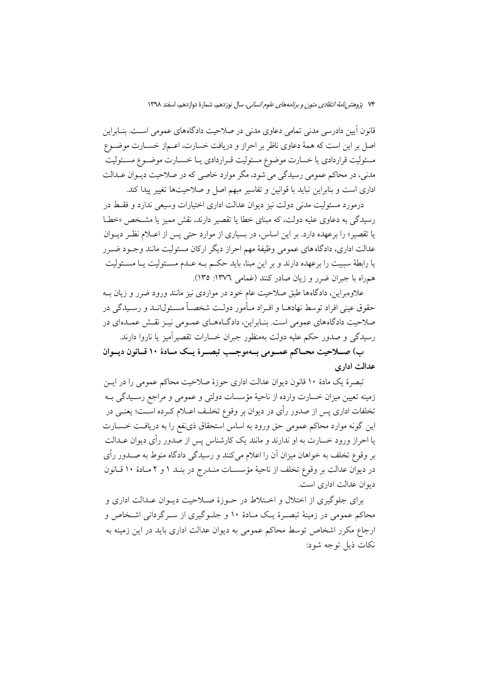قانون آیین دادرسی مدنی تمامی دعاوی مدنی در صلاحیت دادگاههای عمومی اسـت. بنــابراین اصل بر این است که همهٔ دعاوی ناظر بر احراز و دریافت خسارت، اعـماز خســارت موضــوع مسئولیت قراردادی یا خسارت موضوع مسئولیت قـراردادی یـا خسـارت موضـوع مسـئولیت مدنی، در محاکم عمومی رسیدگی می شود، مگر موارد خاصی که در صلاحیت دیـوان عـدالت .<br>اداری است و بنابراین نباید با قوانین و تفاسیر مبهم اصل و صلاحیتها تغییر پیدا کند.

درمورد مسئولیت مدنی دولت نیز دیوان عدالت اداری اختیارات وسیعی ندارد و فقسط در رسیدگی به دعاوی علیه دولت، که مبنای خطا یا تقصیر دارند، نقش ممیز یا مشخص «خطا یا تقصیر» را برعهده دارد. بر این اساس، در بسیاری از موارد حتی پس از اعبلام نظر دیبوان عدالت اداری، دادگاه های عمومی وظیفهٔ مهم احراز دیگر ارکان مسئولیت مانند وجـود ضـرر یا رابطهٔ سببیت را برعهده دارند و بر این مبنا، باید حکـم بـه عـدم مسـئولیت یـا مسـئولیت هم راه با جبران ضرر و زبان صادر کنند (غمامی ۱۳۷۲: ۱۳۵).

علاوه راین، دادگاهها طبق صلاحیت عام خود در مواردی نیز مانند ورود ضرر و زبان بـه حقوق عيني افراد توسط نهادهـا و افـراد مـأمور دولـت شخصـاً مسـئول|نــد و رســيدگي در صلاحیت دادگاههای عمومی است. بنـابراین، دادگـاههـای عمـومی نیـز نقـش عمـدهای در رسیدگی و صدور حکم علیه دولت بهمنظور جبران خسارات تقصیرآمیز یا ناروا دارند.

ب) صلاحیت محـاکم عمــومی بــهموجــب تبصــرهٔ یــک مــادهٔ ۱۰ قــانون دیــوان عدالت ادارى

تبصرهٔ یک مادهٔ ۱۰ قانون دیوان عدالت اداری حوزهٔ صلاحیت محاکم عمومی را در ایـن زمینه تعیین میزان خسارت وارده از ناحیهٔ مؤسسات دولتی و عمومی و مراجع رسـیدگی بــه تخلفات اداري پس از صدور رأى در ديوان بر وقوع تخلـف اعــلام كــرده اســت؛ يعنــي در این گونه موارد محاکم عمومی حق ورود به اساس استحقاق ذینفع را به دریافت خسـارت یا احراز ورود خسارت به او ندارند و مانند یک کارشناس پس از صدور رأی دیوان عــدالت بر وقوع تخلف به خواهان میزان آن را اعلام میکنند و رسیدگی دادگاه منوط به صــدور رأی در ديوان عدالت بر وقوع تخلف از ناحيهٔ مؤسسـات منــدرج در بنــد ١ و ٢ مــادهٔ ١٠ قــانون ديوان عدالت اداري است.

برای جلوگیری از اختلال و اختلاط در حـوزهٔ صـلاحیت دیـوان عـدالت اداری و محاکم عمومی در زمینهٔ تبصرهٔ یک مـادهٔ ۱۰ و جلـوگیری از سـرگردانی اشـخاص و ارجاع مکرر اشخاص توسط محاکم عمومی به دیوان عدالت اداری باید در این زمینه به نكات ذيل توجه شود: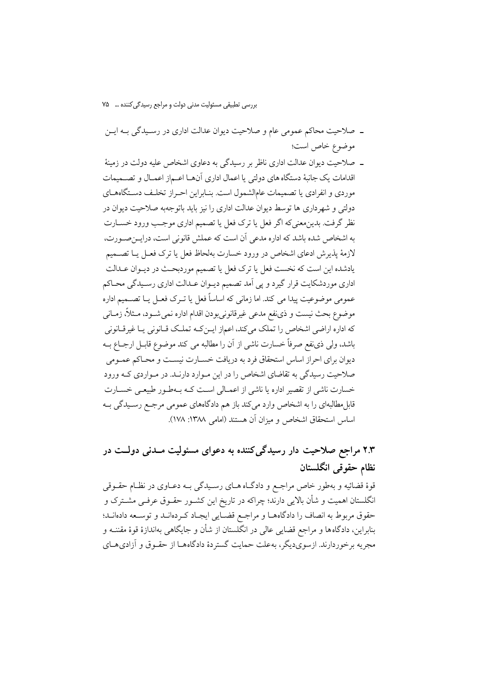- ـ صلاحیت محاکم عمومی عام و صلاحیت دیوان عدالت اداری در رسیدگی بـه ایـن موضوع خاص است؛
- ــ صلاحیت دیوان عدالت اداری ناظر بر رسیدگی به دعاوی اشخاص علیه دولت در زمینهٔ اقدامات یک جانبهٔ دستگاه های دولتی یا اعمال اداری آنهــا اعــم|ز اعمــال و تصــمیمات موردي و انفرادي يا تصميمات عامالشمول است. بنـابراين احـراز تخلـف دسـتگاههـاي دولتی و شهرداری ها توسط دیوان عدالت اداری را نیز باید باتوجهبه صلاحیت دیوان در نظر گرفت. بدین معنی که اگر فعل یا ترک فعل یا تصمیم اداری موجب ورود خســارت به اشخاص شده باشد که اداره مدعی آن است که عملش قانونی است، درایسحدورت، لازمهٔ پذیرش ادعای اشخاص در ورود خسارت بهلحاظ فعل یا ترک فعـل یــا تصــمیم یادشده این است که نخست فعل یا ترک فعل یا تصمیم موردبحـث در دیــوان عــدالت اداری موردشکایت قرار گیرد و پی اَمد تصمیم دیـوان عـدالت اداری رسـیدگی محـاکم عمومي موضوعيت پيدا مي كند. اما زماني كه اساساً فعل يا تــرک فعــل يــا تصـــميم اداره موضوع بحث نيست و ذي نفع مدعى غيرقانوني بودن اقدام اداره نمي شـود، مــثلاً، زمــاني که اداره اراضی اشخاص را تملک میکند، اعماز ایــنکـه تملـک قــانونی یــا غیرقــانونی باشد، ولي ذي نفع صرفاً خسارت ناشي از آن را مطالبه مي كند موضوع قابـل ارجــاع بــه دیوان برای احراز اساس استحقاق فرد به دریافت خسـارت نیسـت و محـاکم عمـومی صلاحیت رسیدگی به تقاضای اشخاص را در این مـوارد دارنــد. در مـواردی کــه ورود خسارت ناشی از تقصیر اداره یا ناشی از اعمـالی اسـت کـه بـهطـور طبیعـی خســارت قابل مطالبهای را به اشخاص وارد میکند باز هم دادگاههای عمومی مرجع رسـیدگی بـه اساس استحقاق اشخاص و میزان آن هستند (امامی ۱۳۸۸: ۱۷۸).

## ۲.۳ مراجع صلاحیت دار رسیدگ*ی ک*ننده به دعوای مسئولیت مــدنی دولــت در نظام حقوقی انگلستان

قوهٔ قضائیه و بهطور خاص مراجع و دادگـاه هـای رسـیدگی بــه دعـاوی در نظـام حقــوقی انگلستان اهمیت و شأن بالایی دارند؛ چراکه در تاریخ این کشـور حقـوق عرفـی مشـترک و حقوق مربوط به انصاف را دادگاهها و مراجع قضـايي ايجـاد كـردهانـد و توسـعه دادهانـد؛ بنابراین، دادگاهها و مراجع قضایی عالی در انگلستان از شأن و جایگاهی بهاندازهٔ قوهٔ مقننــه و مجریه برخوردارند. ازسویدیگر، بهعلت حمایت گستردهٔ دادگاههـا از حقـوق و آزادیهـای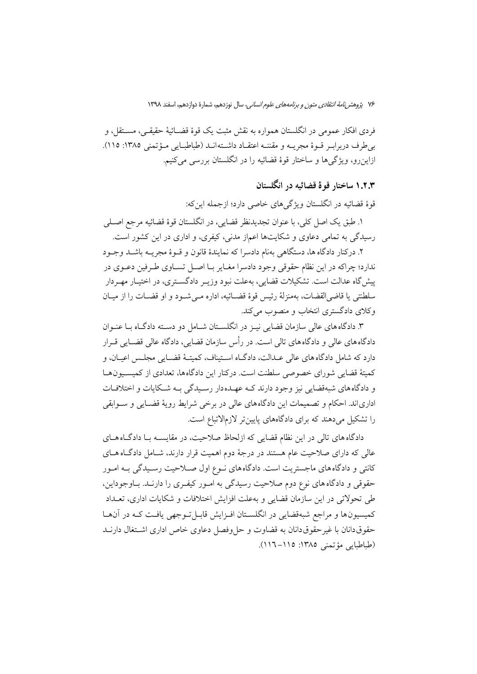۷۶ پژوهش *نامهٔ انتقادی متون و برنامههای علوم انسانی،* سال نوزدهم، شمارهٔ دوازدهم، اسفند ۱۳۹۸

فردي افكار عمومي در انگلستان همواره به نقش مثبت يک قوهٔ قضــائيهٔ حقيقــي، مســتقل، و بي طرف دربرابير قبوة مجريبه و مقننيه اعتقباد داشته انيد (طباطبيايي ميؤتمني ١٣٨٥: ١١٥). ازاین رو، ویژگی ها و ساختار قوهٔ قضائیه را در انگلستان بررسی میکنیم.

### ۱.۲.۳ ساختار قوهٔ قضائیه در انگلستان

قوهٔ قضائیه در انگلستان ویژگیهای خاصی دارد؛ ازجمله اینکه:

١. طبق يک اصل کلي، با عنوان تجديدنظر قضايي، در انگلستان قوهٔ قضائيه مرجع اصـلي رسیدگی به تمامی دعاوی و شکایتها اعماز مدنی، کیفری، و اداری در این کشور است.

۲. درکنار دادگاه ها، دستگاهی بهنام دادسرا که نمایندهٔ قانون و قــوهٔ مجریــه باشــد وجــود ندارد؛ چراکه در این نظام حقوقی وجود دادسرا مغـایر بـا اصـل تســاوی طــرفین دعــوی در پیش گاه عدالت است. تشکیلات قضایی، بهعلت نبود وزیـر دادگســتری، در اختیــار مهــردار سلطنتي يا قاضي|لقضات، بهمنزلهٔ رئيس قوهٔ قضــائيه، اداره مــي شــود و او قضــات را از ميــان وكلاي دادگستري انتخاب و منصوب مي كند.

۳. دادگاههای عالی سازمان قضایی نیـز در انگلسـتان شـامل دو دسـته دادگـاه بـا عنـوان دادگاههای عالی و دادگاههای تالی است. در رأس سازمان قضایی، دادگاه عالی قضـایی قــرار دارد که شامل دادگاه های عالی عـدالت، دادگــاه اسـتيناف، کميتــهٔ قضــايي مجلــس اعيــان، و كميتهٔ قضايي شوراي خصوصي سلطنت است. دركنار اين دادگاهها، تعدادي از كميسـيونهــا و دادگاههای شبهقضایی نیز وجود دارند کـه عهـدهدار رسـیدگی بـه شـکایات و اختلافـات اداریاند. احکام و تصمیمات این دادگاههای عالی در برخی شرایط رویهٔ قضـایی و سـوابقی را تشکیل می دهند که برای دادگاههای پایینتر لازمالاتباع است.

دادگاه های تالی در این نظام قضایی که ازلحاظ صلاحیت، در مقایســه بــا دادگــاه هــای عالی که دارای صلاحیت عام هستند در درجهٔ دوم اهمیت قرار دارند، شـامل دادگـاه هــای کانتی و دادگاه های ماجستریت است. دادگاه های نوع اول صـلاحیت رسـیدگی بـه امـور حقوقی و دادگاه های نوع دوم صلاحیت رسیدگی به امور کیفری را دارنـد. بـاوجوداین، طی تحولاتی در این سازمان قضایی و بهعلت افزایش اختلافات و شکایات اداری، تعــداد كميسيون ها و مراجع شبهقضايي در انگلسـتان افـزايش قابـل تـوجهي يافـت كـه در آنهـا حقوق دانان با غیر حقوق دانان به قضاوت و حل وفصل دعاوی خاص اداری اشتغال دارنــد (طباطبابی مؤتمنی ١٣٨٥: ١١٥-١١٦).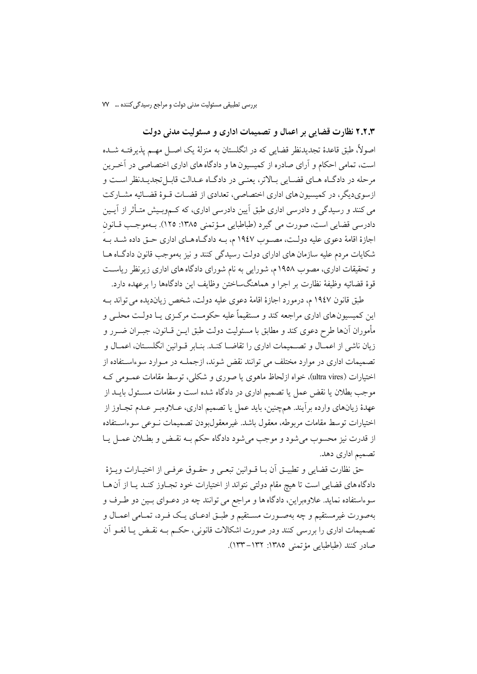۲.۲.۳ نظارت قضایی بر اعمال و تصمیمات اداری و مسئولیت مدنی دولت اصولاً، طبق قاعدهٔ تجدیدنظر قضایی که در انگلستان به منزلهٔ یک اصـل مهــم یذیرفتــه شــده است، تمامی احکام و آرای صادره از کمیسیون ها و دادگاه های اداری اختصاصی در آخرین مرحله در دادگـاه هـاي قضـايي بـالاتر، يعنـي در دادگـاه عـدالت قابـلتجديـدنظر اسـت و ازسویدیگر، در کمیسیون های اداری اختصاصی، تعدادی از قضـات قـوهٔ قضـائیه مشـارکت می کنند و رسیدگی و دادرسی اداری طبق اَیین دادرسی اداری، که کــموبـیش متــأثر از اَیــین دادرسي قضايي است، صورت مي گيرد (طباطبايي مـؤتمني ١٣٨٥: ١٢٥). بـهموجـب قـانون اجازهٔ اقامهٔ دعوی علیه دولت، مصـوب ۱۹٤۷ م، بـه دادگـاههـای اداری حـق داده شـد بـه شکایات مردم علیه سازمان های ادارای دولت رسیدگی کنند و نیز بهموجب قانون دادگاه هـا و تحقیقات اداری، مصوب ۱۹۵۸ م، شورایی به نام شورای دادگاه های اداری زیرنظر ریاست قوة قضائيه وظيفة نظارت بر اجرا و هماهنگساختن وظايف اين دادگاهها را برعهده دارد.

طبق قانون ۱۹٤۷ م، درمورد اجازهٔ اقامهٔ دعوی علیه دولت، شخص زیاندیده می تواند بــه این کمیسیونهای اداری مراجعه کند و مستقیماً علیه حکومت مرکـزی یـا دولـت محلـی و مأموران آنها طرح دعوى كند و مطابق با مسئوليت دولت طبق ايــن قــانون، جبــران ضــرر و زيان ناشي از اعمـال و تصــميمات اداري را تقاضــا كنــد. بنــابر قــوانين انگلســتان، اعمــال و تصمیمات اداری در موارد مختلف می توانند نقض شوند، ازجملـه در مـوارد سوءاسـتفاده از اختیارات (ultra vires)، خواه ازلحاظ ماهوی یا صوری و شکلی، توسط مقامات عمـومی کـه موجب بطلان یا نقض عمل یا تصمیم اداری در دادگاه شده است و مقامات مســئول بایــد از عهدهٔ زیانهای وارده بر اَیند. همچنین، باید عمل یا تصمیم اداری، عــلاوهبـر عــدم تجــاوز از اختيارات توسط مقامات مربوطه، معقول باشد. غيرمعقولبودن تصميمات نـوعى سوءاسـتفاده از قدرت نيز محسوب مي شود و موجب مي شود دادگاه حكم بــه نقــض و بطــلان عمــل يــا تصمیم اداری دهد.

حق نظارت قضايي و تطبيــق أن بــا قــوانين تبعــي و حقــوق عرفــي از اختيــارات ويـــزهٔ دادگاه های قضایی است تا هیچ مقام دولتی نتواند از اختیارات خود تجـاوز کنــد یــا از آن هــا سوءاستفاده نماید. علاوهبراین، دادگاه ها و مراجع می توانند چه در دعـوای بـین دو طـرف و بهصورت غیرمستقیم و چه بهصـورت مسـتقیم و طبـق ادعــای یــک فــرد، تمــامی اعمــال و تصميمات اداري را بررسي كنند ودر صورت اشكالات قانوني، حكـم بـه نقـض يـا لغــو آن صادر كنند (طباطبايي مؤتمني ١٣٨٥: ١٣٢–١٣٣).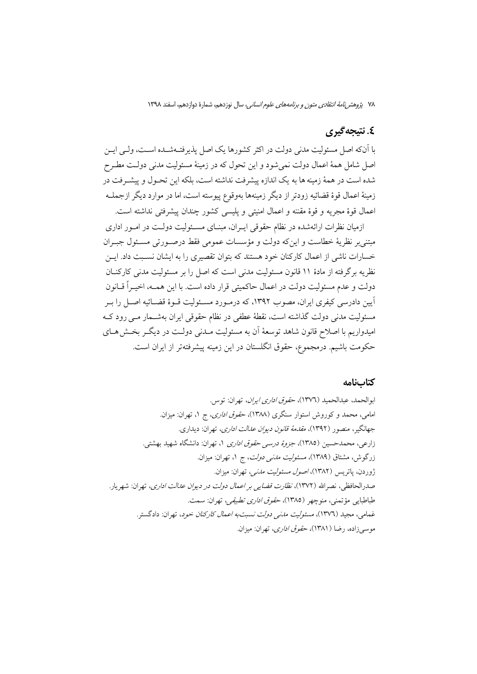۷۸ پژوهشر *نامهٔ انتقادی متون و برنامههای علوم انسانی،* سال نوزدهم، شمارهٔ دوازدهم، اسفند ۱۳۹۸

### ٤. نتيجه گيري

با آنکه اصل مسئولیت مدنی دولت در اکثر کشورها یک اصل پذیرفتـهشـده اسـت، ولـی ایــن اصل شامل همهٔ اعمال دولت نمیشود و این تحول که در زمینهٔ مسئولیت مدنی دولـت مطـرح شده است در همهٔ زمینه ها به یک اندازه پیشرفت نداشته است، بلکه این تحـول و پیشـرفت در زمینهٔ اعمال قوهٔ قضائیه زودتر از دیگر زمینهها بهوقوع پیوسته است، اما در موارد دیگر ازجملــه اعمال قوهٔ مجریه و قوهٔ مقننه و اعمال امنیتی و پلیسی کشور چندان پیشرفتی نداشته است.

ازمیان نظرات ارائهشده در نظام حقوقی ایـران، مبنـای مسـئولیت دولـت در امـور اداری مبتني بر نظريهٔ خطاست و اينٍکه دولت و مؤسسات عمومي فقط درصـورتي مسـئول جبـران خسارات ناشی از اعمال کارکنان خود هستند که بتوان تقصیری را به ایشان نسـبت داد. ایــن نظریه برگرفته از مادهٔ ۱۱ قانون مسئولیت مدنی است که اصل را بر مسئولیت مدنی کارکنــان دولت و عدم مسئولیت دولت در اعمال حاکمیتی قرار داده است. با این همــه، اخیــراً قــانون آیین دادرسی کیفری ایران، مصوب ۱۳۹۲، که درمـورد مسـئولیت قـوهٔ قضـائیه اصـل را بـر مسئولیت مدنی دولت گذاشته است، نقطهٔ عطفی در نظام حقوقی ایران بهشـمار مـی رود کـه امیدواریم با اصلاح قانون شاهد توسعهٔ آن به مسئولیت مـدنی دولـت در دیگـر بخـش۵حـای حکومت باشیم. درمجموع، حقوق انگلستان در این زمینه پیشرفتهتر از ایران است.

### كتابنامه